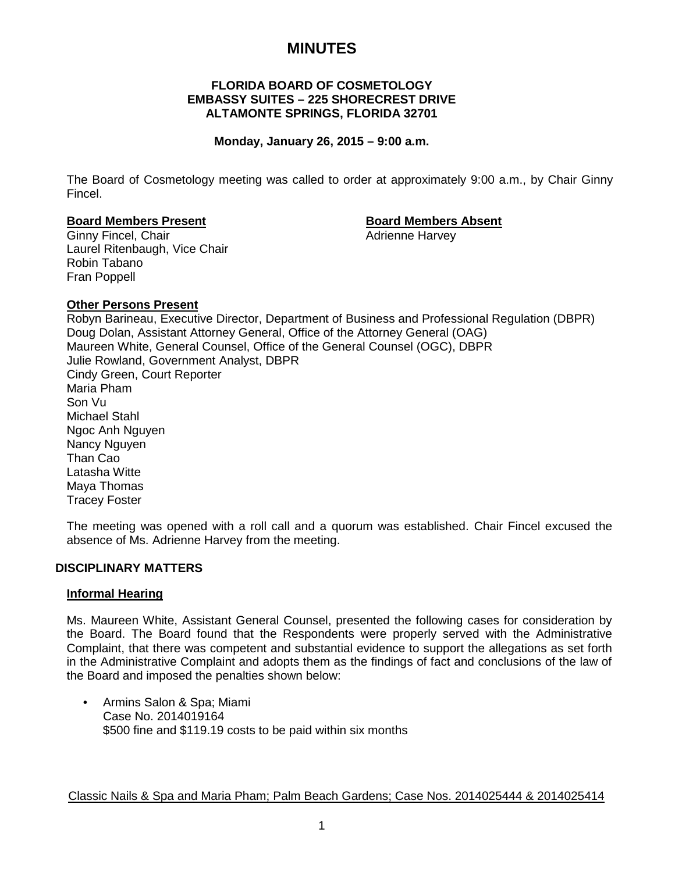# **MINUTES**

## **FLORIDA BOARD OF COSMETOLOGY EMBASSY SUITES – 225 SHORECREST DRIVE ALTAMONTE SPRINGS, FLORIDA 32701**

## **Monday, January 26, 2015 – 9:00 a.m.**

The Board of Cosmetology meeting was called to order at approximately 9:00 a.m., by Chair Ginny Fincel.

#### **Board Members Present Board Members Absent**

Ginny Fincel, Chair **Adrienne Harvey Adrienne Harvey** Laurel Ritenbaugh, Vice Chair Robin Tabano Fran Poppell

## **Other Persons Present**

Robyn Barineau, Executive Director, Department of Business and Professional Regulation (DBPR) Doug Dolan, Assistant Attorney General, Office of the Attorney General (OAG) Maureen White, General Counsel, Office of the General Counsel (OGC), DBPR Julie Rowland, Government Analyst, DBPR Cindy Green, Court Reporter Maria Pham Son Vu Michael Stahl Ngoc Anh Nguyen Nancy Nguyen Than Cao Latasha Witte Maya Thomas Tracey Foster

The meeting was opened with a roll call and a quorum was established. Chair Fincel excused the absence of Ms. Adrienne Harvey from the meeting.

## **DISCIPLINARY MATTERS**

## **Informal Hearing**

Ms. Maureen White, Assistant General Counsel, presented the following cases for consideration by the Board. The Board found that the Respondents were properly served with the Administrative Complaint, that there was competent and substantial evidence to support the allegations as set forth in the Administrative Complaint and adopts them as the findings of fact and conclusions of the law of the Board and imposed the penalties shown below:

• Armins Salon & Spa; Miami Case No. 2014019164 \$500 fine and \$119.19 costs to be paid within six months

Classic Nails & Spa and Maria Pham; Palm Beach Gardens; Case Nos. 2014025444 & 2014025414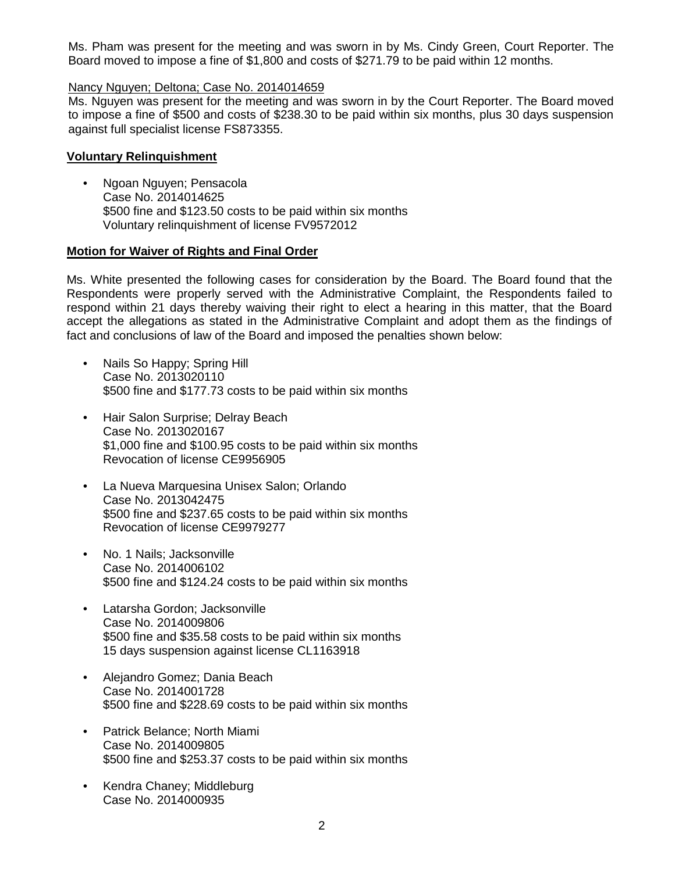Ms. Pham was present for the meeting and was sworn in by Ms. Cindy Green, Court Reporter. The Board moved to impose a fine of \$1,800 and costs of \$271.79 to be paid within 12 months.

### Nancy Nguyen; Deltona; Case No. 2014014659

Ms. Nguyen was present for the meeting and was sworn in by the Court Reporter. The Board moved to impose a fine of \$500 and costs of \$238.30 to be paid within six months, plus 30 days suspension against full specialist license FS873355.

## **Voluntary Relinquishment**

• Ngoan Nguyen; Pensacola Case No. 2014014625 \$500 fine and \$123.50 costs to be paid within six months Voluntary relinquishment of license FV9572012

## **Motion for Waiver of Rights and Final Order**

Ms. White presented the following cases for consideration by the Board. The Board found that the Respondents were properly served with the Administrative Complaint, the Respondents failed to respond within 21 days thereby waiving their right to elect a hearing in this matter, that the Board accept the allegations as stated in the Administrative Complaint and adopt them as the findings of fact and conclusions of law of the Board and imposed the penalties shown below:

- Nails So Happy; Spring Hill Case No. 2013020110 \$500 fine and \$177.73 costs to be paid within six months
- Hair Salon Surprise; Delray Beach Case No. 2013020167 \$1,000 fine and \$100.95 costs to be paid within six months Revocation of license CE9956905
- La Nueva Marquesina Unisex Salon; Orlando Case No. 2013042475 \$500 fine and \$237.65 costs to be paid within six months Revocation of license CE9979277
- No. 1 Nails; Jacksonville Case No. 2014006102 \$500 fine and \$124.24 costs to be paid within six months
- Latarsha Gordon; Jacksonville Case No. 2014009806 \$500 fine and \$35.58 costs to be paid within six months 15 days suspension against license CL1163918
- Alejandro Gomez; Dania Beach Case No. 2014001728 \$500 fine and \$228.69 costs to be paid within six months
- Patrick Belance; North Miami Case No. 2014009805 \$500 fine and \$253.37 costs to be paid within six months
- Kendra Chaney; Middleburg Case No. 2014000935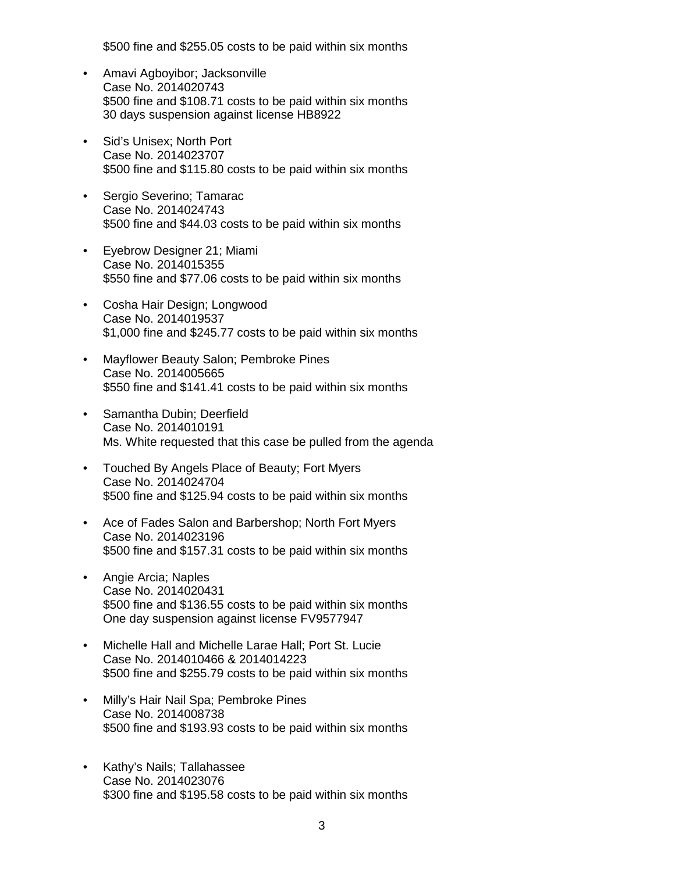\$500 fine and \$255.05 costs to be paid within six months

- Amavi Agboyibor; Jacksonville Case No. 2014020743 \$500 fine and \$108.71 costs to be paid within six months 30 days suspension against license HB8922
- Sid's Unisex; North Port Case No. 2014023707 \$500 fine and \$115.80 costs to be paid within six months
- Sergio Severino; Tamarac Case No. 2014024743 \$500 fine and \$44.03 costs to be paid within six months
- Eyebrow Designer 21; Miami Case No. 2014015355 \$550 fine and \$77.06 costs to be paid within six months
- Cosha Hair Design; Longwood Case No. 2014019537 \$1,000 fine and \$245.77 costs to be paid within six months
- Mayflower Beauty Salon; Pembroke Pines Case No. 2014005665 \$550 fine and \$141.41 costs to be paid within six months
- Samantha Dubin; Deerfield Case No. 2014010191 Ms. White requested that this case be pulled from the agenda
- Touched By Angels Place of Beauty; Fort Myers Case No. 2014024704 \$500 fine and \$125.94 costs to be paid within six months
- Ace of Fades Salon and Barbershop; North Fort Myers Case No. 2014023196 \$500 fine and \$157.31 costs to be paid within six months
- Angie Arcia; Naples Case No. 2014020431 \$500 fine and \$136.55 costs to be paid within six months One day suspension against license FV9577947
- Michelle Hall and Michelle Larae Hall; Port St. Lucie Case No. 2014010466 & 2014014223 \$500 fine and \$255.79 costs to be paid within six months
- Milly's Hair Nail Spa; Pembroke Pines Case No. 2014008738 \$500 fine and \$193.93 costs to be paid within six months
- Kathy's Nails; Tallahassee Case No. 2014023076 \$300 fine and \$195.58 costs to be paid within six months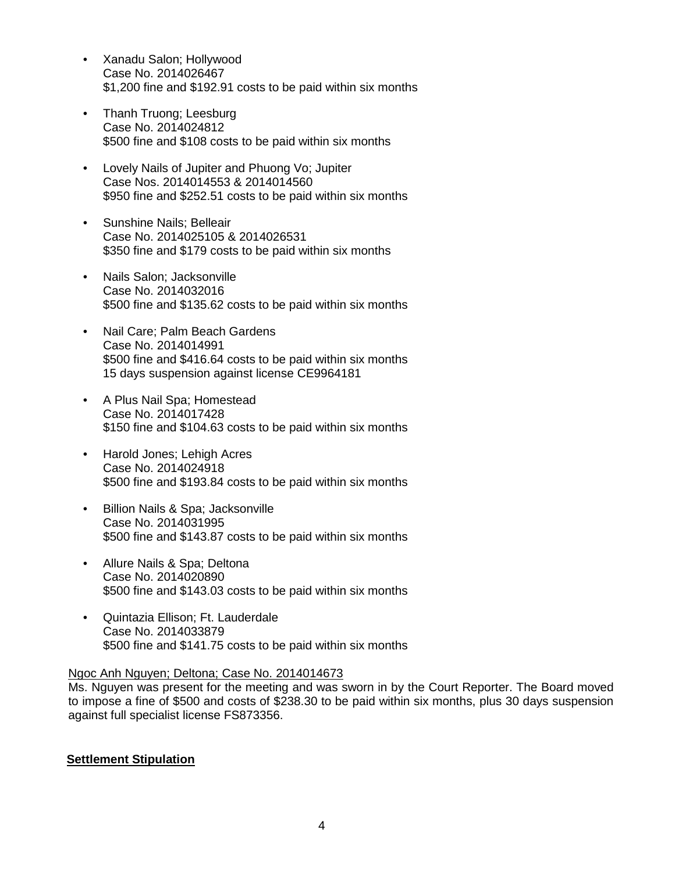- Xanadu Salon; Hollywood Case No. 2014026467 \$1,200 fine and \$192.91 costs to be paid within six months
- Thanh Truong; Leesburg Case No. 2014024812 \$500 fine and \$108 costs to be paid within six months
- Lovely Nails of Jupiter and Phuong Vo; Jupiter Case Nos. 2014014553 & 2014014560 \$950 fine and \$252.51 costs to be paid within six months
- Sunshine Nails; Belleair Case No. 2014025105 & 2014026531 \$350 fine and \$179 costs to be paid within six months
- Nails Salon; Jacksonville Case No. 2014032016 \$500 fine and \$135.62 costs to be paid within six months
- Nail Care; Palm Beach Gardens Case No. 2014014991 \$500 fine and \$416.64 costs to be paid within six months 15 days suspension against license CE9964181
- A Plus Nail Spa; Homestead Case No. 2014017428 \$150 fine and \$104.63 costs to be paid within six months
- Harold Jones; Lehigh Acres Case No. 2014024918 \$500 fine and \$193.84 costs to be paid within six months
- Billion Nails & Spa; Jacksonville Case No. 2014031995 \$500 fine and \$143.87 costs to be paid within six months
- Allure Nails & Spa; Deltona Case No. 2014020890 \$500 fine and \$143.03 costs to be paid within six months
- Quintazia Ellison; Ft. Lauderdale Case No. 2014033879 \$500 fine and \$141.75 costs to be paid within six months

## Ngoc Anh Nguyen; Deltona; Case No. 2014014673

Ms. Nguyen was present for the meeting and was sworn in by the Court Reporter. The Board moved to impose a fine of \$500 and costs of \$238.30 to be paid within six months, plus 30 days suspension against full specialist license FS873356.

## **Settlement Stipulation**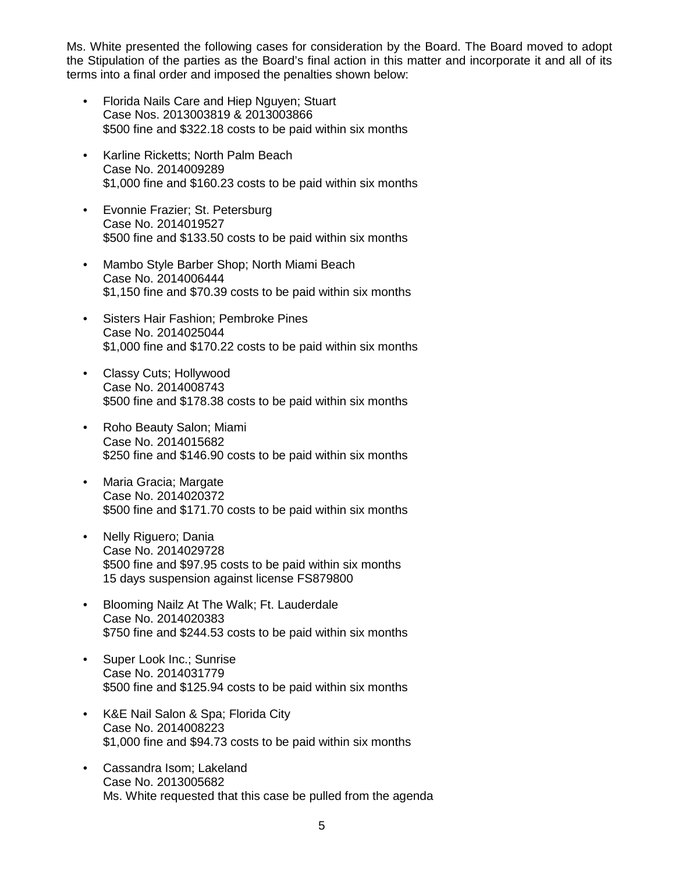Ms. White presented the following cases for consideration by the Board. The Board moved to adopt the Stipulation of the parties as the Board's final action in this matter and incorporate it and all of its terms into a final order and imposed the penalties shown below:

- Florida Nails Care and Hiep Nguyen; Stuart Case Nos. 2013003819 & 2013003866 \$500 fine and \$322.18 costs to be paid within six months
- Karline Ricketts; North Palm Beach Case No. 2014009289 \$1,000 fine and \$160.23 costs to be paid within six months
- Evonnie Frazier; St. Petersburg Case No. 2014019527 \$500 fine and \$133.50 costs to be paid within six months
- Mambo Style Barber Shop; North Miami Beach Case No. 2014006444 \$1,150 fine and \$70.39 costs to be paid within six months
- Sisters Hair Fashion; Pembroke Pines Case No. 2014025044 \$1,000 fine and \$170.22 costs to be paid within six months
- Classy Cuts; Hollywood Case No. 2014008743 \$500 fine and \$178.38 costs to be paid within six months
- Roho Beauty Salon; Miami Case No. 2014015682 \$250 fine and \$146.90 costs to be paid within six months
- Maria Gracia; Margate Case No. 2014020372 \$500 fine and \$171.70 costs to be paid within six months
- Nelly Riguero; Dania Case No. 2014029728 \$500 fine and \$97.95 costs to be paid within six months 15 days suspension against license FS879800
- Blooming Nailz At The Walk; Ft. Lauderdale Case No. 2014020383 \$750 fine and \$244.53 costs to be paid within six months
- Super Look Inc.; Sunrise Case No. 2014031779 \$500 fine and \$125.94 costs to be paid within six months
- K&E Nail Salon & Spa; Florida City Case No. 2014008223 \$1,000 fine and \$94.73 costs to be paid within six months
- Cassandra Isom; Lakeland Case No. 2013005682 Ms. White requested that this case be pulled from the agenda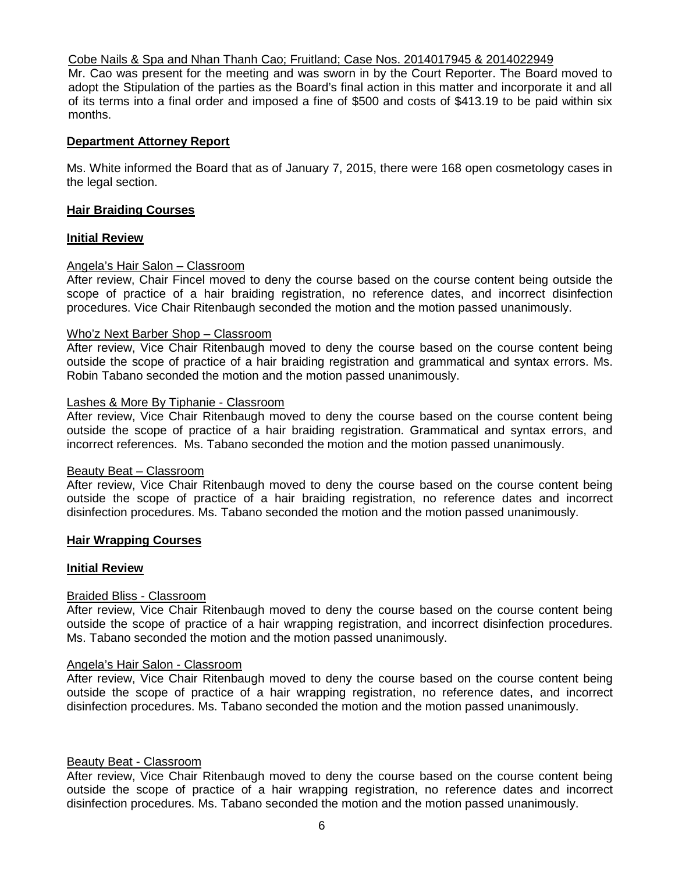#### Cobe Nails & Spa and Nhan Thanh Cao; Fruitland; Case Nos. 2014017945 & 2014022949

Mr. Cao was present for the meeting and was sworn in by the Court Reporter. The Board moved to adopt the Stipulation of the parties as the Board's final action in this matter and incorporate it and all of its terms into a final order and imposed a fine of \$500 and costs of \$413.19 to be paid within six months.

## **Department Attorney Report**

Ms. White informed the Board that as of January 7, 2015, there were 168 open cosmetology cases in the legal section.

#### **Hair Braiding Courses**

#### **Initial Review**

## Angela's Hair Salon – Classroom

After review, Chair Fincel moved to deny the course based on the course content being outside the scope of practice of a hair braiding registration, no reference dates, and incorrect disinfection procedures. Vice Chair Ritenbaugh seconded the motion and the motion passed unanimously.

#### Who'z Next Barber Shop – Classroom

After review, Vice Chair Ritenbaugh moved to deny the course based on the course content being outside the scope of practice of a hair braiding registration and grammatical and syntax errors. Ms. Robin Tabano seconded the motion and the motion passed unanimously.

#### Lashes & More By Tiphanie - Classroom

After review, Vice Chair Ritenbaugh moved to deny the course based on the course content being outside the scope of practice of a hair braiding registration. Grammatical and syntax errors, and incorrect references. Ms. Tabano seconded the motion and the motion passed unanimously.

#### Beauty Beat – Classroom

After review, Vice Chair Ritenbaugh moved to deny the course based on the course content being outside the scope of practice of a hair braiding registration, no reference dates and incorrect disinfection procedures. Ms. Tabano seconded the motion and the motion passed unanimously.

## **Hair Wrapping Courses**

#### **Initial Review**

#### Braided Bliss - Classroom

After review, Vice Chair Ritenbaugh moved to deny the course based on the course content being outside the scope of practice of a hair wrapping registration, and incorrect disinfection procedures. Ms. Tabano seconded the motion and the motion passed unanimously.

#### Angela's Hair Salon - Classroom

After review, Vice Chair Ritenbaugh moved to deny the course based on the course content being outside the scope of practice of a hair wrapping registration, no reference dates, and incorrect disinfection procedures. Ms. Tabano seconded the motion and the motion passed unanimously.

#### Beauty Beat - Classroom

After review, Vice Chair Ritenbaugh moved to deny the course based on the course content being outside the scope of practice of a hair wrapping registration, no reference dates and incorrect disinfection procedures. Ms. Tabano seconded the motion and the motion passed unanimously.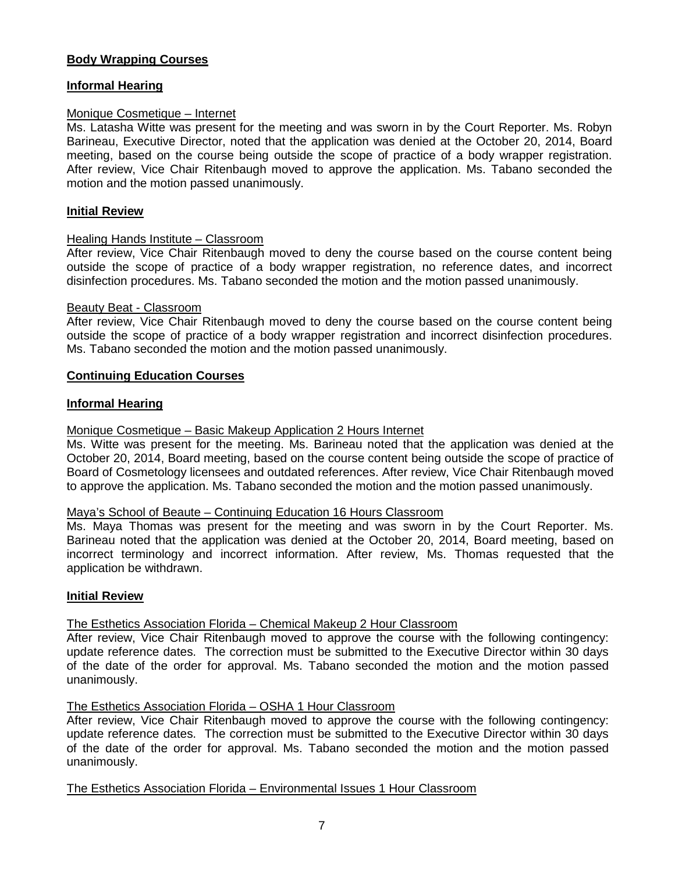## **Body Wrapping Courses**

## **Informal Hearing**

## Monique Cosmetique – Internet

Ms. Latasha Witte was present for the meeting and was sworn in by the Court Reporter. Ms. Robyn Barineau, Executive Director, noted that the application was denied at the October 20, 2014, Board meeting, based on the course being outside the scope of practice of a body wrapper registration. After review, Vice Chair Ritenbaugh moved to approve the application. Ms. Tabano seconded the motion and the motion passed unanimously.

#### **Initial Review**

## Healing Hands Institute – Classroom

After review, Vice Chair Ritenbaugh moved to deny the course based on the course content being outside the scope of practice of a body wrapper registration, no reference dates, and incorrect disinfection procedures. Ms. Tabano seconded the motion and the motion passed unanimously.

#### Beauty Beat - Classroom

After review, Vice Chair Ritenbaugh moved to deny the course based on the course content being outside the scope of practice of a body wrapper registration and incorrect disinfection procedures. Ms. Tabano seconded the motion and the motion passed unanimously.

## **Continuing Education Courses**

## **Informal Hearing**

#### Monique Cosmetique – Basic Makeup Application 2 Hours Internet

Ms. Witte was present for the meeting. Ms. Barineau noted that the application was denied at the October 20, 2014, Board meeting, based on the course content being outside the scope of practice of Board of Cosmetology licensees and outdated references. After review, Vice Chair Ritenbaugh moved to approve the application. Ms. Tabano seconded the motion and the motion passed unanimously.

#### Maya's School of Beaute – Continuing Education 16 Hours Classroom

Ms. Maya Thomas was present for the meeting and was sworn in by the Court Reporter. Ms. Barineau noted that the application was denied at the October 20, 2014, Board meeting, based on incorrect terminology and incorrect information. After review, Ms. Thomas requested that the application be withdrawn.

#### **Initial Review**

#### The Esthetics Association Florida – Chemical Makeup 2 Hour Classroom

After review, Vice Chair Ritenbaugh moved to approve the course with the following contingency: update reference dates. The correction must be submitted to the Executive Director within 30 days of the date of the order for approval. Ms. Tabano seconded the motion and the motion passed unanimously.

#### The Esthetics Association Florida – OSHA 1 Hour Classroom

After review, Vice Chair Ritenbaugh moved to approve the course with the following contingency: update reference dates. The correction must be submitted to the Executive Director within 30 days of the date of the order for approval. Ms. Tabano seconded the motion and the motion passed unanimously.

#### The Esthetics Association Florida – Environmental Issues 1 Hour Classroom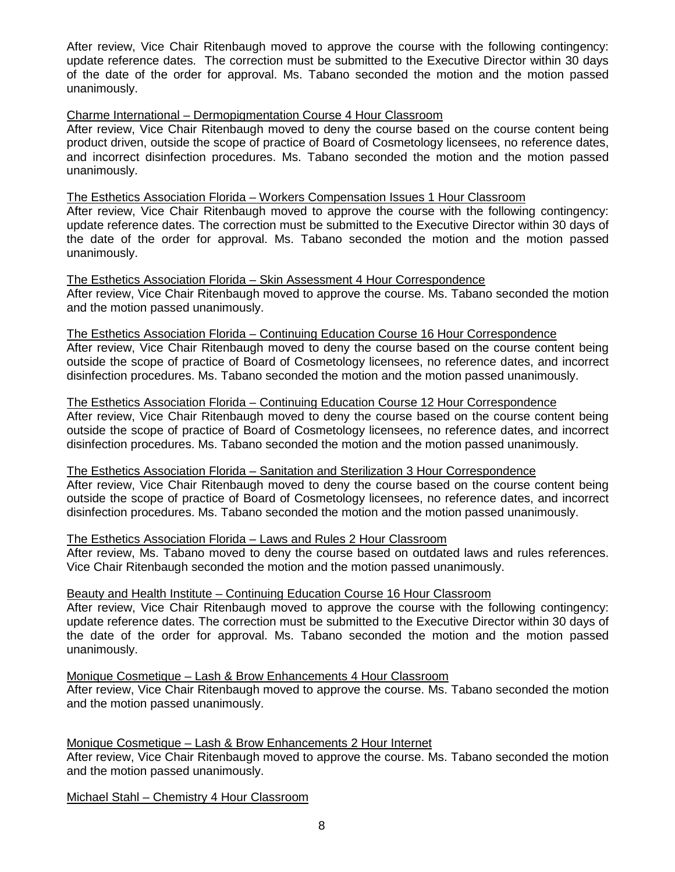After review, Vice Chair Ritenbaugh moved to approve the course with the following contingency: update reference dates. The correction must be submitted to the Executive Director within 30 days of the date of the order for approval. Ms. Tabano seconded the motion and the motion passed unanimously.

## Charme International – Dermopigmentation Course 4 Hour Classroom

After review, Vice Chair Ritenbaugh moved to deny the course based on the course content being product driven, outside the scope of practice of Board of Cosmetology licensees, no reference dates, and incorrect disinfection procedures. Ms. Tabano seconded the motion and the motion passed unanimously.

#### The Esthetics Association Florida – Workers Compensation Issues 1 Hour Classroom

After review, Vice Chair Ritenbaugh moved to approve the course with the following contingency: update reference dates. The correction must be submitted to the Executive Director within 30 days of the date of the order for approval. Ms. Tabano seconded the motion and the motion passed unanimously.

The Esthetics Association Florida – Skin Assessment 4 Hour Correspondence After review, Vice Chair Ritenbaugh moved to approve the course. Ms. Tabano seconded the motion and the motion passed unanimously.

The Esthetics Association Florida – Continuing Education Course 16 Hour Correspondence After review, Vice Chair Ritenbaugh moved to deny the course based on the course content being outside the scope of practice of Board of Cosmetology licensees, no reference dates, and incorrect disinfection procedures. Ms. Tabano seconded the motion and the motion passed unanimously.

#### The Esthetics Association Florida – Continuing Education Course 12 Hour Correspondence

After review, Vice Chair Ritenbaugh moved to deny the course based on the course content being outside the scope of practice of Board of Cosmetology licensees, no reference dates, and incorrect disinfection procedures. Ms. Tabano seconded the motion and the motion passed unanimously.

#### The Esthetics Association Florida – Sanitation and Sterilization 3 Hour Correspondence

After review, Vice Chair Ritenbaugh moved to deny the course based on the course content being outside the scope of practice of Board of Cosmetology licensees, no reference dates, and incorrect disinfection procedures. Ms. Tabano seconded the motion and the motion passed unanimously.

## The Esthetics Association Florida – Laws and Rules 2 Hour Classroom

After review, Ms. Tabano moved to deny the course based on outdated laws and rules references. Vice Chair Ritenbaugh seconded the motion and the motion passed unanimously.

#### Beauty and Health Institute – Continuing Education Course 16 Hour Classroom

After review, Vice Chair Ritenbaugh moved to approve the course with the following contingency: update reference dates. The correction must be submitted to the Executive Director within 30 days of the date of the order for approval. Ms. Tabano seconded the motion and the motion passed unanimously.

#### Monique Cosmetique – Lash & Brow Enhancements 4 Hour Classroom

After review, Vice Chair Ritenbaugh moved to approve the course. Ms. Tabano seconded the motion and the motion passed unanimously.

#### Monique Cosmetique – Lash & Brow Enhancements 2 Hour Internet

After review, Vice Chair Ritenbaugh moved to approve the course. Ms. Tabano seconded the motion and the motion passed unanimously.

Michael Stahl – Chemistry 4 Hour Classroom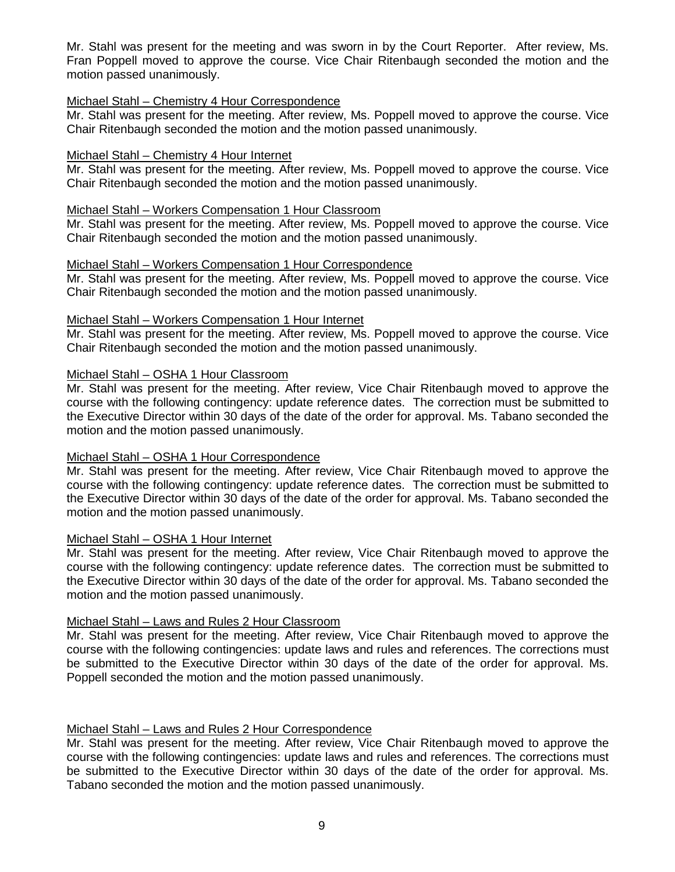Mr. Stahl was present for the meeting and was sworn in by the Court Reporter. After review, Ms. Fran Poppell moved to approve the course. Vice Chair Ritenbaugh seconded the motion and the motion passed unanimously.

#### Michael Stahl – Chemistry 4 Hour Correspondence

Mr. Stahl was present for the meeting. After review, Ms. Poppell moved to approve the course. Vice Chair Ritenbaugh seconded the motion and the motion passed unanimously.

## Michael Stahl – Chemistry 4 Hour Internet

Mr. Stahl was present for the meeting. After review, Ms. Poppell moved to approve the course. Vice Chair Ritenbaugh seconded the motion and the motion passed unanimously.

#### Michael Stahl – Workers Compensation 1 Hour Classroom

Mr. Stahl was present for the meeting. After review, Ms. Poppell moved to approve the course. Vice Chair Ritenbaugh seconded the motion and the motion passed unanimously.

## Michael Stahl – Workers Compensation 1 Hour Correspondence

Mr. Stahl was present for the meeting. After review, Ms. Poppell moved to approve the course. Vice Chair Ritenbaugh seconded the motion and the motion passed unanimously.

## Michael Stahl – Workers Compensation 1 Hour Internet

Mr. Stahl was present for the meeting. After review, Ms. Poppell moved to approve the course. Vice Chair Ritenbaugh seconded the motion and the motion passed unanimously.

## Michael Stahl – OSHA 1 Hour Classroom

Mr. Stahl was present for the meeting. After review, Vice Chair Ritenbaugh moved to approve the course with the following contingency: update reference dates. The correction must be submitted to the Executive Director within 30 days of the date of the order for approval. Ms. Tabano seconded the motion and the motion passed unanimously.

## Michael Stahl – OSHA 1 Hour Correspondence

Mr. Stahl was present for the meeting. After review, Vice Chair Ritenbaugh moved to approve the course with the following contingency: update reference dates. The correction must be submitted to the Executive Director within 30 days of the date of the order for approval. Ms. Tabano seconded the motion and the motion passed unanimously.

#### Michael Stahl – OSHA 1 Hour Internet

Mr. Stahl was present for the meeting. After review, Vice Chair Ritenbaugh moved to approve the course with the following contingency: update reference dates. The correction must be submitted to the Executive Director within 30 days of the date of the order for approval. Ms. Tabano seconded the motion and the motion passed unanimously.

## Michael Stahl – Laws and Rules 2 Hour Classroom

Mr. Stahl was present for the meeting. After review, Vice Chair Ritenbaugh moved to approve the course with the following contingencies: update laws and rules and references. The corrections must be submitted to the Executive Director within 30 days of the date of the order for approval. Ms. Poppell seconded the motion and the motion passed unanimously.

## Michael Stahl – Laws and Rules 2 Hour Correspondence

Mr. Stahl was present for the meeting. After review, Vice Chair Ritenbaugh moved to approve the course with the following contingencies: update laws and rules and references. The corrections must be submitted to the Executive Director within 30 days of the date of the order for approval. Ms. Tabano seconded the motion and the motion passed unanimously.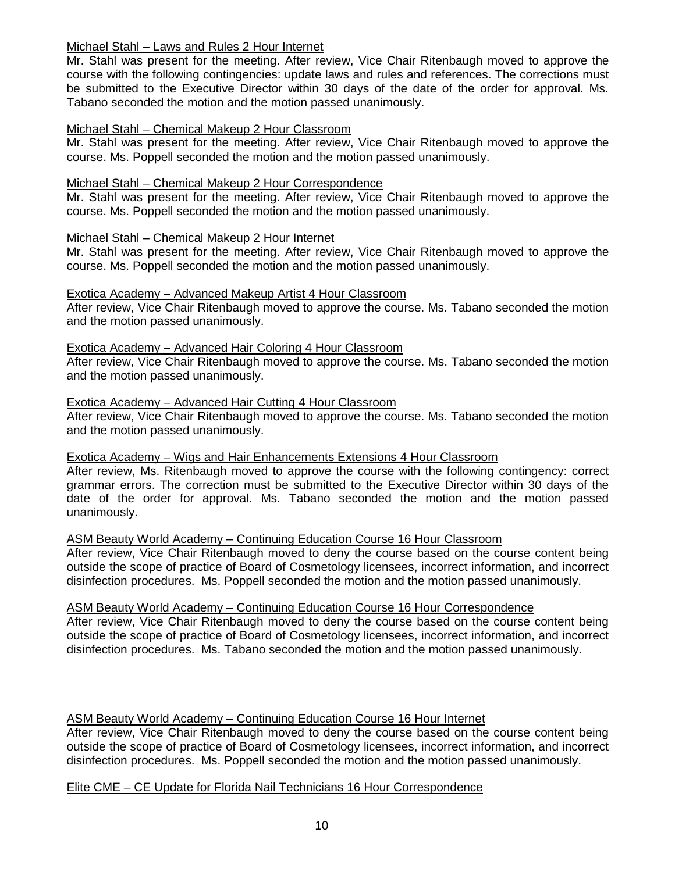## Michael Stahl – Laws and Rules 2 Hour Internet

Mr. Stahl was present for the meeting. After review, Vice Chair Ritenbaugh moved to approve the course with the following contingencies: update laws and rules and references. The corrections must be submitted to the Executive Director within 30 days of the date of the order for approval. Ms. Tabano seconded the motion and the motion passed unanimously.

## Michael Stahl – Chemical Makeup 2 Hour Classroom

Mr. Stahl was present for the meeting. After review, Vice Chair Ritenbaugh moved to approve the course. Ms. Poppell seconded the motion and the motion passed unanimously.

## Michael Stahl – Chemical Makeup 2 Hour Correspondence

Mr. Stahl was present for the meeting. After review, Vice Chair Ritenbaugh moved to approve the course. Ms. Poppell seconded the motion and the motion passed unanimously.

## Michael Stahl – Chemical Makeup 2 Hour Internet

Mr. Stahl was present for the meeting. After review, Vice Chair Ritenbaugh moved to approve the course. Ms. Poppell seconded the motion and the motion passed unanimously.

#### Exotica Academy – Advanced Makeup Artist 4 Hour Classroom

After review, Vice Chair Ritenbaugh moved to approve the course. Ms. Tabano seconded the motion and the motion passed unanimously.

Exotica Academy – Advanced Hair Coloring 4 Hour Classroom After review, Vice Chair Ritenbaugh moved to approve the course. Ms. Tabano seconded the motion and the motion passed unanimously.

#### Exotica Academy – Advanced Hair Cutting 4 Hour Classroom

After review, Vice Chair Ritenbaugh moved to approve the course. Ms. Tabano seconded the motion and the motion passed unanimously.

## Exotica Academy – Wigs and Hair Enhancements Extensions 4 Hour Classroom

After review, Ms. Ritenbaugh moved to approve the course with the following contingency: correct grammar errors. The correction must be submitted to the Executive Director within 30 days of the date of the order for approval. Ms. Tabano seconded the motion and the motion passed unanimously.

## ASM Beauty World Academy – Continuing Education Course 16 Hour Classroom

After review, Vice Chair Ritenbaugh moved to deny the course based on the course content being outside the scope of practice of Board of Cosmetology licensees, incorrect information, and incorrect disinfection procedures. Ms. Poppell seconded the motion and the motion passed unanimously.

#### ASM Beauty World Academy – Continuing Education Course 16 Hour Correspondence

After review, Vice Chair Ritenbaugh moved to deny the course based on the course content being outside the scope of practice of Board of Cosmetology licensees, incorrect information, and incorrect disinfection procedures. Ms. Tabano seconded the motion and the motion passed unanimously.

## ASM Beauty World Academy – Continuing Education Course 16 Hour Internet

After review, Vice Chair Ritenbaugh moved to deny the course based on the course content being outside the scope of practice of Board of Cosmetology licensees, incorrect information, and incorrect disinfection procedures. Ms. Poppell seconded the motion and the motion passed unanimously.

#### Elite CME – CE Update for Florida Nail Technicians 16 Hour Correspondence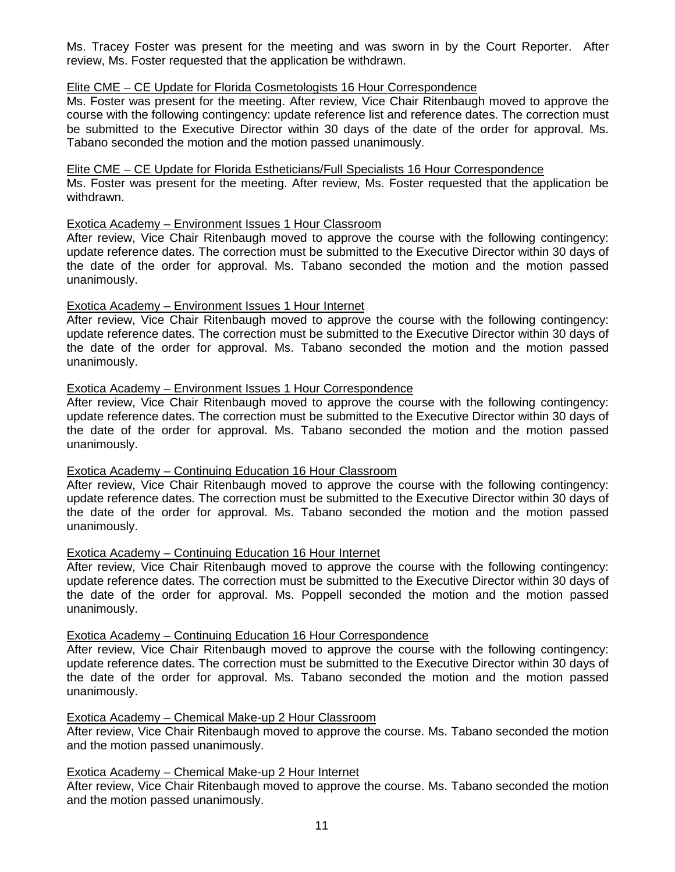Ms. Tracey Foster was present for the meeting and was sworn in by the Court Reporter. After review, Ms. Foster requested that the application be withdrawn.

## Elite CME – CE Update for Florida Cosmetologists 16 Hour Correspondence

Ms. Foster was present for the meeting. After review, Vice Chair Ritenbaugh moved to approve the course with the following contingency: update reference list and reference dates. The correction must be submitted to the Executive Director within 30 days of the date of the order for approval. Ms. Tabano seconded the motion and the motion passed unanimously.

#### Elite CME – CE Update for Florida Estheticians/Full Specialists 16 Hour Correspondence

Ms. Foster was present for the meeting. After review, Ms. Foster requested that the application be withdrawn.

#### Exotica Academy – Environment Issues 1 Hour Classroom

After review, Vice Chair Ritenbaugh moved to approve the course with the following contingency: update reference dates. The correction must be submitted to the Executive Director within 30 days of the date of the order for approval. Ms. Tabano seconded the motion and the motion passed unanimously.

## Exotica Academy – Environment Issues 1 Hour Internet

After review, Vice Chair Ritenbaugh moved to approve the course with the following contingency: update reference dates. The correction must be submitted to the Executive Director within 30 days of the date of the order for approval. Ms. Tabano seconded the motion and the motion passed unanimously.

## Exotica Academy – Environment Issues 1 Hour Correspondence

After review, Vice Chair Ritenbaugh moved to approve the course with the following contingency: update reference dates. The correction must be submitted to the Executive Director within 30 days of the date of the order for approval. Ms. Tabano seconded the motion and the motion passed unanimously.

#### Exotica Academy – Continuing Education 16 Hour Classroom

After review, Vice Chair Ritenbaugh moved to approve the course with the following contingency: update reference dates. The correction must be submitted to the Executive Director within 30 days of the date of the order for approval. Ms. Tabano seconded the motion and the motion passed unanimously.

## Exotica Academy – Continuing Education 16 Hour Internet

After review, Vice Chair Ritenbaugh moved to approve the course with the following contingency: update reference dates. The correction must be submitted to the Executive Director within 30 days of the date of the order for approval. Ms. Poppell seconded the motion and the motion passed unanimously.

## Exotica Academy – Continuing Education 16 Hour Correspondence

After review, Vice Chair Ritenbaugh moved to approve the course with the following contingency: update reference dates. The correction must be submitted to the Executive Director within 30 days of the date of the order for approval. Ms. Tabano seconded the motion and the motion passed unanimously.

#### Exotica Academy – Chemical Make-up 2 Hour Classroom

After review, Vice Chair Ritenbaugh moved to approve the course. Ms. Tabano seconded the motion and the motion passed unanimously.

#### Exotica Academy – Chemical Make-up 2 Hour Internet

After review, Vice Chair Ritenbaugh moved to approve the course. Ms. Tabano seconded the motion and the motion passed unanimously.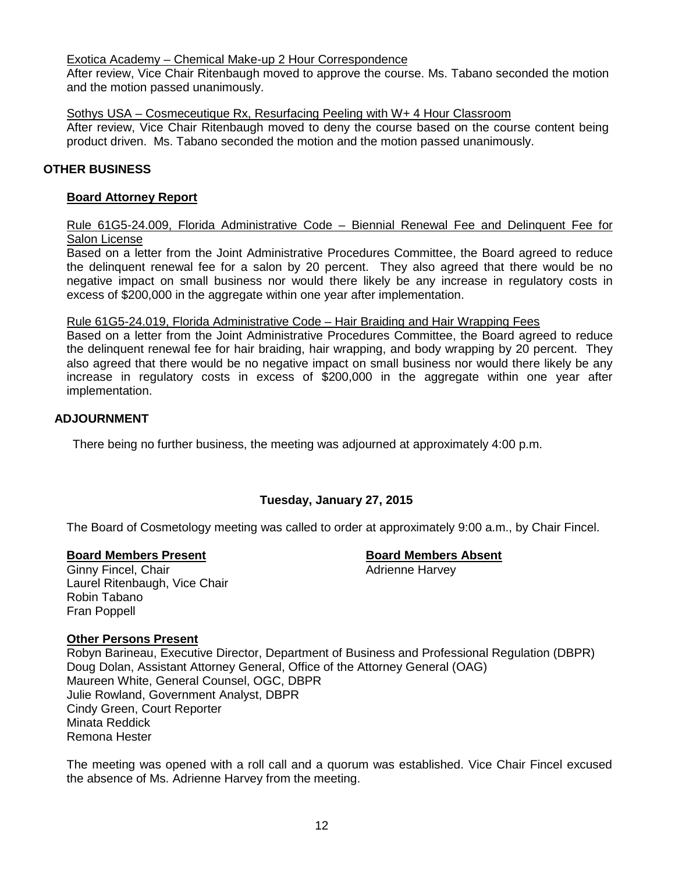Exotica Academy – Chemical Make-up 2 Hour Correspondence

After review, Vice Chair Ritenbaugh moved to approve the course. Ms. Tabano seconded the motion and the motion passed unanimously.

## Sothys USA – Cosmeceutique Rx, Resurfacing Peeling with W+ 4 Hour Classroom

After review, Vice Chair Ritenbaugh moved to deny the course based on the course content being product driven. Ms. Tabano seconded the motion and the motion passed unanimously.

## **OTHER BUSINESS**

## **Board Attorney Report**

Rule 61G5-24.009, Florida Administrative Code – Biennial Renewal Fee and Delinquent Fee for Salon License

Based on a letter from the Joint Administrative Procedures Committee, the Board agreed to reduce the delinquent renewal fee for a salon by 20 percent. They also agreed that there would be no negative impact on small business nor would there likely be any increase in regulatory costs in excess of \$200,000 in the aggregate within one year after implementation.

## Rule 61G5-24.019, Florida Administrative Code – Hair Braiding and Hair Wrapping Fees

Based on a letter from the Joint Administrative Procedures Committee, the Board agreed to reduce the delinquent renewal fee for hair braiding, hair wrapping, and body wrapping by 20 percent. They also agreed that there would be no negative impact on small business nor would there likely be any increase in regulatory costs in excess of \$200,000 in the aggregate within one year after implementation.

## **ADJOURNMENT**

There being no further business, the meeting was adjourned at approximately 4:00 p.m.

## **Tuesday, January 27, 2015**

The Board of Cosmetology meeting was called to order at approximately 9:00 a.m., by Chair Fincel.

**Board Members Present**<br> **Board Members Absent**<br> **Board Members Absent**<br> **Adrienne Harvey** Ginny Fincel, Chair Laurel Ritenbaugh, Vice Chair Robin Tabano Fran Poppell

## **Other Persons Present**

Robyn Barineau, Executive Director, Department of Business and Professional Regulation (DBPR) Doug Dolan, Assistant Attorney General, Office of the Attorney General (OAG) Maureen White, General Counsel, OGC, DBPR Julie Rowland, Government Analyst, DBPR Cindy Green, Court Reporter Minata Reddick Remona Hester

The meeting was opened with a roll call and a quorum was established. Vice Chair Fincel excused the absence of Ms. Adrienne Harvey from the meeting.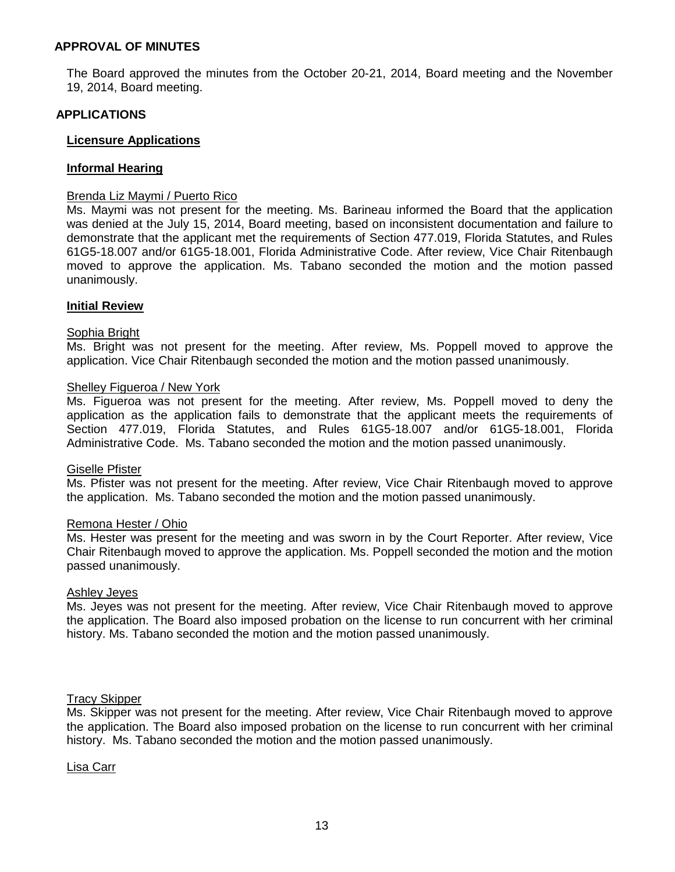#### **APPROVAL OF MINUTES**

The Board approved the minutes from the October 20-21, 2014, Board meeting and the November 19, 2014, Board meeting.

#### **APPLICATIONS**

#### **Licensure Applications**

#### **Informal Hearing**

#### Brenda Liz Maymi / Puerto Rico

Ms. Maymi was not present for the meeting. Ms. Barineau informed the Board that the application was denied at the July 15, 2014, Board meeting, based on inconsistent documentation and failure to demonstrate that the applicant met the requirements of Section 477.019, Florida Statutes, and Rules 61G5-18.007 and/or 61G5-18.001, Florida Administrative Code. After review, Vice Chair Ritenbaugh moved to approve the application. Ms. Tabano seconded the motion and the motion passed unanimously.

#### **Initial Review**

#### Sophia Bright

Ms. Bright was not present for the meeting. After review, Ms. Poppell moved to approve the application. Vice Chair Ritenbaugh seconded the motion and the motion passed unanimously.

#### Shelley Figueroa / New York

Ms. Figueroa was not present for the meeting. After review, Ms. Poppell moved to deny the application as the application fails to demonstrate that the applicant meets the requirements of Section 477.019, Florida Statutes, and Rules 61G5-18.007 and/or 61G5-18.001, Florida Administrative Code. Ms. Tabano seconded the motion and the motion passed unanimously.

#### Giselle Pfister

Ms. Pfister was not present for the meeting. After review, Vice Chair Ritenbaugh moved to approve the application. Ms. Tabano seconded the motion and the motion passed unanimously.

#### Remona Hester / Ohio

Ms. Hester was present for the meeting and was sworn in by the Court Reporter. After review, Vice Chair Ritenbaugh moved to approve the application. Ms. Poppell seconded the motion and the motion passed unanimously.

#### Ashley Jeyes

Ms. Jeyes was not present for the meeting. After review, Vice Chair Ritenbaugh moved to approve the application. The Board also imposed probation on the license to run concurrent with her criminal history. Ms. Tabano seconded the motion and the motion passed unanimously.

#### Tracy Skipper

Ms. Skipper was not present for the meeting. After review, Vice Chair Ritenbaugh moved to approve the application. The Board also imposed probation on the license to run concurrent with her criminal history. Ms. Tabano seconded the motion and the motion passed unanimously.

Lisa Carr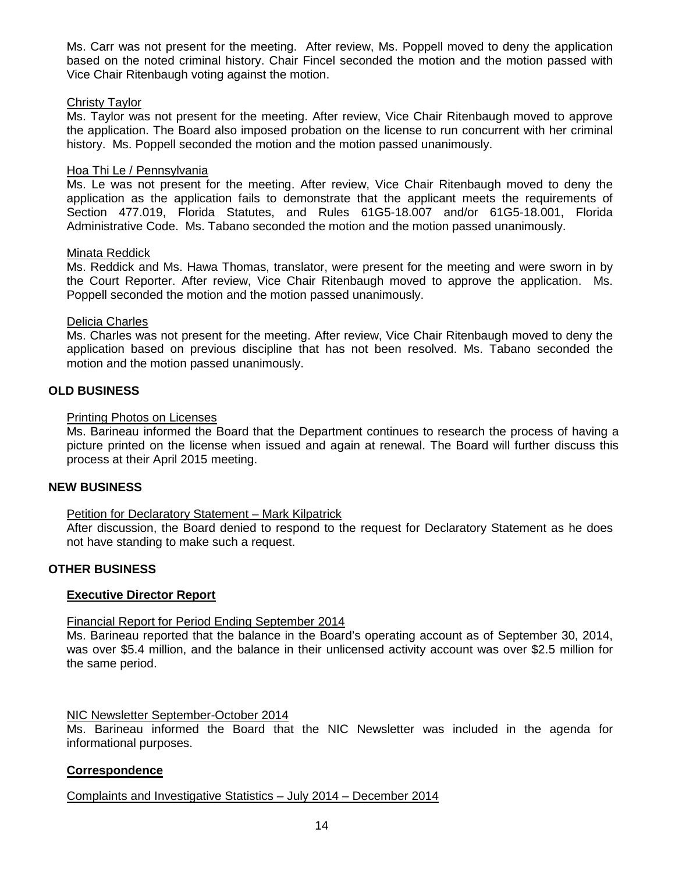Ms. Carr was not present for the meeting. After review, Ms. Poppell moved to deny the application based on the noted criminal history. Chair Fincel seconded the motion and the motion passed with Vice Chair Ritenbaugh voting against the motion.

#### Christy Taylor

Ms. Taylor was not present for the meeting. After review, Vice Chair Ritenbaugh moved to approve the application. The Board also imposed probation on the license to run concurrent with her criminal history. Ms. Poppell seconded the motion and the motion passed unanimously.

#### Hoa Thi Le / Pennsylvania

Ms. Le was not present for the meeting. After review, Vice Chair Ritenbaugh moved to deny the application as the application fails to demonstrate that the applicant meets the requirements of Section 477.019, Florida Statutes, and Rules 61G5-18.007 and/or 61G5-18.001, Florida Administrative Code. Ms. Tabano seconded the motion and the motion passed unanimously.

## Minata Reddick

Ms. Reddick and Ms. Hawa Thomas, translator, were present for the meeting and were sworn in by the Court Reporter. After review, Vice Chair Ritenbaugh moved to approve the application. Ms. Poppell seconded the motion and the motion passed unanimously.

## Delicia Charles

Ms. Charles was not present for the meeting. After review, Vice Chair Ritenbaugh moved to deny the application based on previous discipline that has not been resolved. Ms. Tabano seconded the motion and the motion passed unanimously.

## **OLD BUSINESS**

## Printing Photos on Licenses

Ms. Barineau informed the Board that the Department continues to research the process of having a picture printed on the license when issued and again at renewal. The Board will further discuss this process at their April 2015 meeting.

#### **NEW BUSINESS**

#### Petition for Declaratory Statement – Mark Kilpatrick

After discussion, the Board denied to respond to the request for Declaratory Statement as he does not have standing to make such a request.

## **OTHER BUSINESS**

#### **Executive Director Report**

#### Financial Report for Period Ending September 2014

Ms. Barineau reported that the balance in the Board's operating account as of September 30, 2014, was over \$5.4 million, and the balance in their unlicensed activity account was over \$2.5 million for the same period.

#### NIC Newsletter September-October 2014

Ms. Barineau informed the Board that the NIC Newsletter was included in the agenda for informational purposes.

## **Correspondence**

Complaints and Investigative Statistics – July 2014 – December 2014